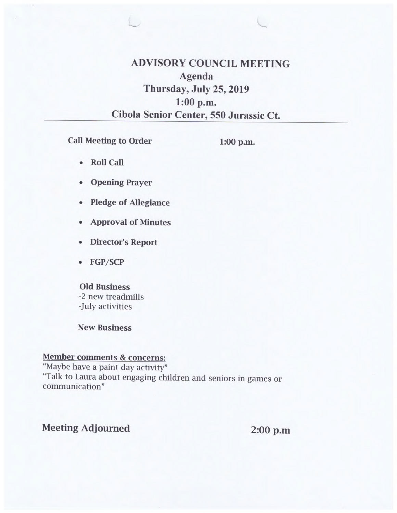# **ADVISORY COUNCIL MEETING Agenda Thursday, July 25, 2019 1:00 p.m. Cibola Senior Center, 550 Jurassic Ct.**

**Call Meeting to Order** 

**1:00 p.m.** 

- **Roll Call**
- **Opening Prayer**
- **Pledge of Allegiance**
- **Approval of Minutes**
- **Director's Report**
- **FGP/SCP**

#### **Old Business**

-2 new treadmills -July activities

**New Business** 

### **Member comments & concerns:**

"Maybe have a paint day activity" "Talk to Laura about engaging children and seniors in games or communication"

### **Meeting Adjourned 2:00 p.m**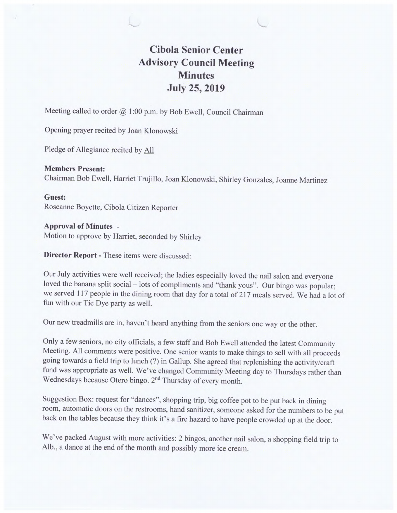# **Cibola Senior Center Advisory Council Meeting Minutes July 25, 2019**

Meeting called to order @ **1:00** p.m. by Bob Ewell, Council Chairman

Opening prayer recited by Joan Klonowski

Pledge of Allegiance recited by All

**Members Present:**  Chairman Bob Ewell, Harriet Trujillo, Joan Klonowski, Shirley Gonzales, Joanne Martinez

**Guest:** 

Roseanne Boyette, Cibola Citizen Reporter

**Approval of Minutes** - Motion to approve by Harriet, seconded by Shirley

**Director Report -** These items were discussed:

Our July activities were well received; the ladies especially loved the nail salon and everyone loved the banana split social – lots of compliments and "thank yous". Our bingo was popular; we served 117 people in the dining room that day for a total of 217 meals served. We had a lot of fun with our Tie Dye party as well.

Our new treadmills are in, haven't heard anything from the seniors one way or the other.

Only a few seniors, no city officials, a few staff and Bob Ewell attended the latest Community Meeting. All comments were positive. One senior wants to make things to sell with all proceeds going towards a field trip to lunch (?) in Gallup. She agreed that replenishing the activity/craft fund was appropriate as well. We've changed Community Meeting day to Thursdays rather than Wednesdays because Otero bingo. 2<sup>nd</sup> Thursday of every month.

Suggestion Box: request for "dances", shopping trip, big coffee pot to be put back in dining room, automatic doors on the restrooms, hand sanitizer, someone asked for the numbers to be put back on the tables because they think it's a fire hazard to have people crowded up at the door.

We've packed August with more activities: 2 bingos, another nail salon, a shopping field trip to Alb., a dance at the end of the month and possibly more ice cream.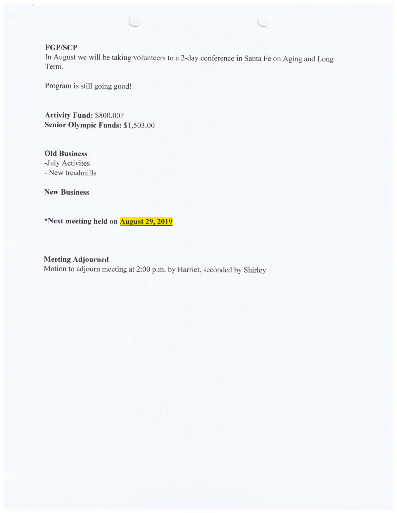### FGP/SCP

In August we will be taking volunteers to a 2-day conference in Santa Fe on Aging and Long Term.

Program is still going good!

**Activity Fund:** \$800.00? **Senior Olympic Funds: \$1,503.00** 

**Old Business**  -July Activites - New treadmills

**New Business** 

**\*Next meeting held on August 29, 2019** 

**Meeting Adjourned**  Motion to adjourn meeting at 2:00 p.m. by Harriet, seconded by Shirley